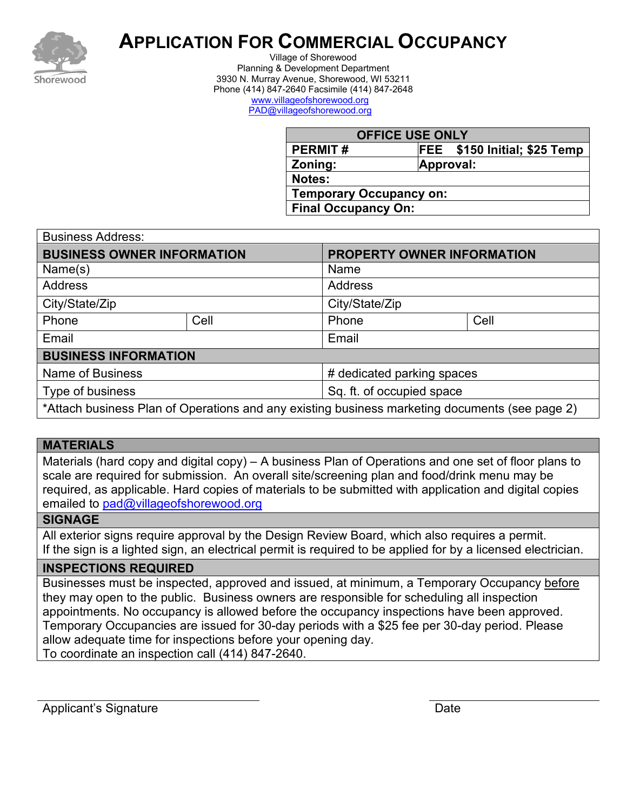

# **APPLICATION FOR COMMERCIAL OCCUPANCY**

Village of Shorewood Planning & Development Department 3930 N. Murray Avenue, Shorewood, WI 53211 Phone (414) 847-2640 Facsimile (414) 847-2648 [www.villageofshorewood.org](http://www.villageofshorewood.org/) [PAD@villageofshorewood.org](mailto:PAD@villageofshorewood.org)

| <b>OFFICE USE ONLY</b>         |                              |  |  |  |
|--------------------------------|------------------------------|--|--|--|
| <b>PERMIT#</b>                 | FEE \$150 Initial; \$25 Temp |  |  |  |
| Zoning:                        | Approval:                    |  |  |  |
| Notes:                         |                              |  |  |  |
| <b>Temporary Occupancy on:</b> |                              |  |  |  |
| <b>Final Occupancy On:</b>     |                              |  |  |  |

| <b>Business Address:</b>                                                                       |      |                            |      |  |  |
|------------------------------------------------------------------------------------------------|------|----------------------------|------|--|--|
| <b>BUSINESS OWNER INFORMATION</b>                                                              |      | PROPERTY OWNER INFORMATION |      |  |  |
| Name(s)                                                                                        |      | Name                       |      |  |  |
| <b>Address</b>                                                                                 |      | <b>Address</b>             |      |  |  |
| City/State/Zip                                                                                 |      | City/State/Zip             |      |  |  |
| Phone                                                                                          | Cell | Phone                      | Cell |  |  |
| Email                                                                                          |      | Email                      |      |  |  |
| <b>BUSINESS INFORMATION</b>                                                                    |      |                            |      |  |  |
| <b>Name of Business</b>                                                                        |      | # dedicated parking spaces |      |  |  |
| Type of business                                                                               |      | Sq. ft. of occupied space  |      |  |  |
| *Attach business Plan of Operations and any existing business marketing documents (see page 2) |      |                            |      |  |  |

### **MATERIALS**

Materials (hard copy and digital copy) – A business Plan of Operations and one set of floor plans to scale are required for submission. An overall site/screening plan and food/drink menu may be required, as applicable. Hard copies of materials to be submitted with application and digital copies emailed to [pad@villageofshorewood.org](mailto:pad@villageofshorewood.org)

#### **SIGNAGE**

All exterior signs require approval by the Design Review Board, which also requires a permit. If the sign is a lighted sign, an electrical permit is required to be applied for by a licensed electrician.

#### **INSPECTIONS REQUIRED**

Businesses must be inspected, approved and issued, at minimum, a Temporary Occupancy before they may open to the public. Business owners are responsible for scheduling all inspection appointments. No occupancy is allowed before the occupancy inspections have been approved. Temporary Occupancies are issued for 30-day periods with a \$25 fee per 30-day period. Please allow adequate time for inspections before your opening day. To coordinate an inspection call (414) 847-2640.

Applicant's Signature **Date** Date **Date**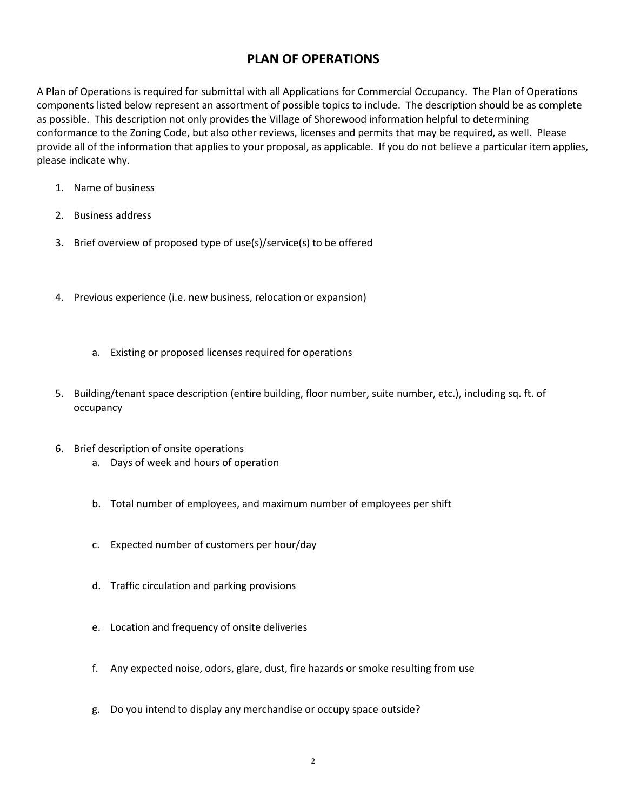### **PLAN OF OPERATIONS**

A Plan of Operations is required for submittal with all Applications for Commercial Occupancy. The Plan of Operations components listed below represent an assortment of possible topics to include. The description should be as complete as possible. This description not only provides the Village of Shorewood information helpful to determining conformance to the Zoning Code, but also other reviews, licenses and permits that may be required, as well. Please provide all of the information that applies to your proposal, as applicable. If you do not believe a particular item applies, please indicate why.

- 1. Name of business
- 2. Business address
- 3. Brief overview of proposed type of use(s)/service(s) to be offered
- 4. Previous experience (i.e. new business, relocation or expansion)
	- a. Existing or proposed licenses required for operations
- 5. Building/tenant space description (entire building, floor number, suite number, etc.), including sq. ft. of occupancy
- 6. Brief description of onsite operations a. Days of week and hours of operation
	- b. Total number of employees, and maximum number of employees per shift
	- c. Expected number of customers per hour/day
	- d. Traffic circulation and parking provisions
	- e. Location and frequency of onsite deliveries
	- f. Any expected noise, odors, glare, dust, fire hazards or smoke resulting from use
	- g. Do you intend to display any merchandise or occupy space outside?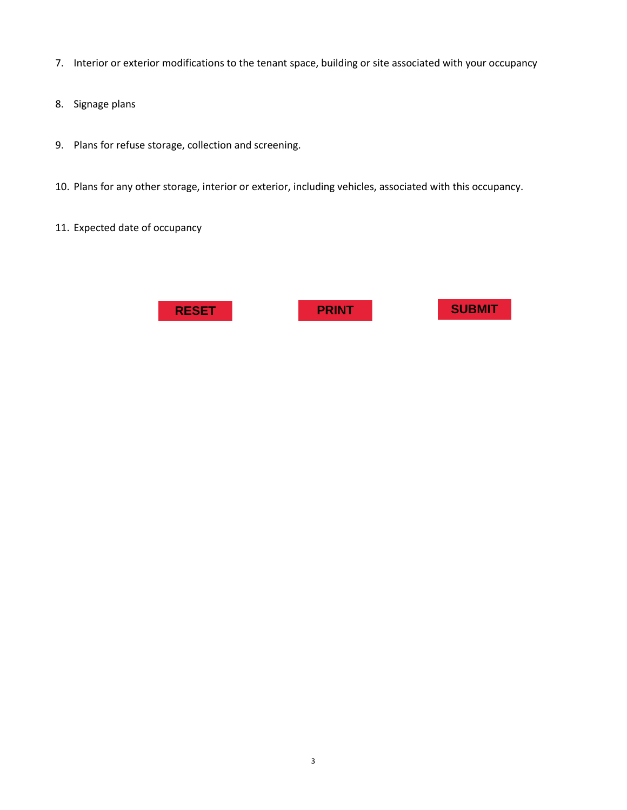- 7. Interior or exterior modifications to the tenant space, building or site associated with your occupancy
- 8. Signage plans
- 9. Plans for refuse storage, collection and screening.
- 10. Plans for any other storage, interior or exterior, including vehicles, associated with this occupancy.
- 11. Expected date of occupancy

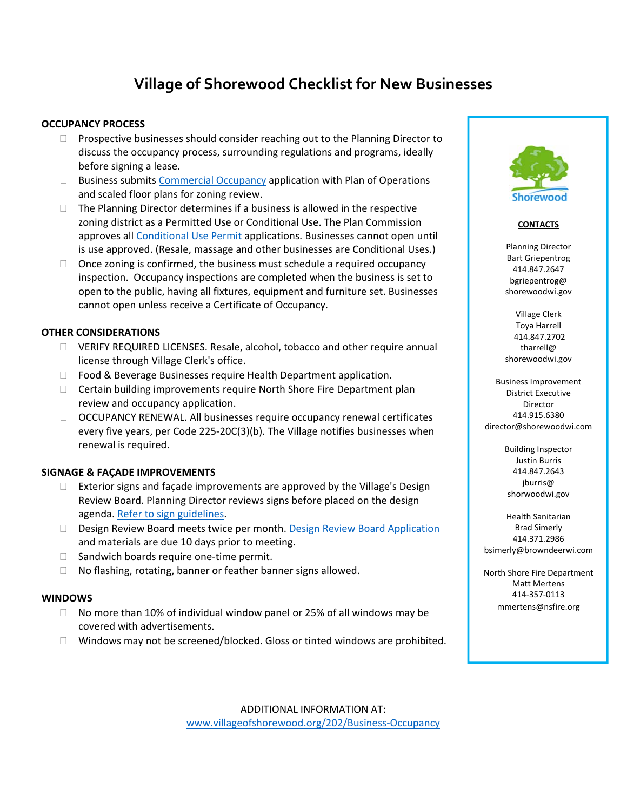## **Village of Shorewood Checklist for New Businesses**

#### **OCCUPANCY PROCESS**

- $\Box$  Prospective businesses should consider reaching out to the Planning Director to discuss the occupancy process, surrounding regulations and programs, ideally before signing a lease.
- $\square$  Business submits Commercial Occupancy application with Plan of Operations and scaled floor plans for zoning review.
- $\Box$  The Planning Director determines if a business is allowed in the respective zoning district as a Permitted Use or Conditional Use. The Plan Commission approves all Conditional Use Permit applications. Businesses cannot open until is use approved. (Resale, massage and other businesses are Conditional Uses.)
- $\Box$  Once zoning is confirmed, the business must schedule a required occupancy inspection. Occupancy inspections are completed when the business is set to open to the public, having all fixtures, equipment and furniture set. Businesses cannot open unless receive a Certificate of Occupancy.

#### **OTHER CONSIDERATIONS**

- VERIFY REQUIRED LICENSES. Resale, alcohol, tobacco and other require annual license through Village Clerk's office.
- □ Food & Beverage Businesses require Health Department application.
- $\Box$  Certain building improvements require North Shore Fire Department plan review and occupancy application.
- $\Box$  OCCUPANCY RENEWAL. All businesses require occupancy renewal certificates every five years, per Code 225‐20C(3)(b). The Village notifies businesses when renewal is required.

#### **SIGNAGE & FAÇADE IMPROVEMENTS**

- $\Box$  Exterior signs and façade improvements are approved by the Village's Design Review Board. Planning Director reviews signs before placed on the design agenda. Refer to sign guidelines.
- Design Review Board meets twice per month. Design Review Board Application and materials are due 10 days prior to meeting.
- □ Sandwich boards require one-time permit.
- No flashing, rotating, banner or feather banner signs allowed.

#### **WINDOWS**

- $\Box$  No more than 10% of individual window panel or 25% of all windows may be covered with advertisements.
- $\Box$  Windows may not be screened/blocked. Gloss or tinted windows are prohibited.



#### **CONTACTS**

Planning Director Bart Griepentrog 414.847.2647 bgriepentrog@ shorewoodwi.gov

Village Clerk Toya Harrell 414.847.2702 tharrell@ shorewoodwi.gov

Business Improvement District Executive Director 414.915.6380 director@shorewoodwi.com

> Building Inspector Justin Burris 414.847.2643 jburris@ shorwoodwi.gov

Health Sanitarian Brad Simerly 414.371.2986 bsimerly@browndeerwi.com

North Shore Fire Department Matt Mertens 414‐357‐0113 mmertens@nsfire.org